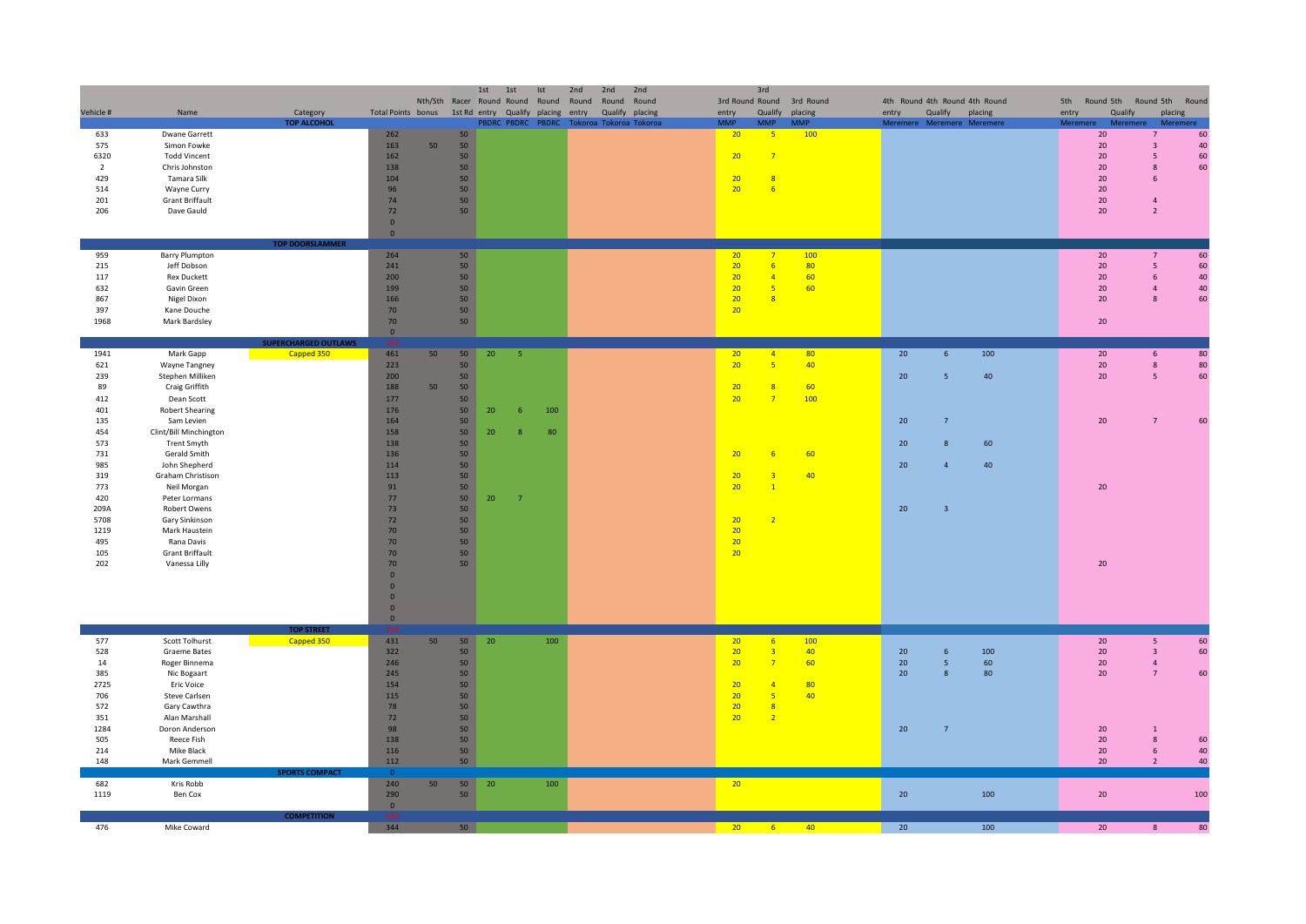| Vehicle #      | Name                   | Category                        | Total Points bonus                        |    |                 | 1st | 1st<br>Ist<br>Nth/Sth Racer Round Round Round<br>1st Rd entry Qualify placing |     | 2nd<br>Round<br>entry | 2nd | 2nd<br>Round Round<br>Qualify placing | entry           | 3rd<br>Qualify  | 3rd Round Round 3rd Round<br>placing | entry | 4th Round 4th Round 4th Round | Qualify                 | placing | 5th<br>entry | Round 5th<br>Qualify | Round 5th Round<br>placing |     |
|----------------|------------------------|---------------------------------|-------------------------------------------|----|-----------------|-----|-------------------------------------------------------------------------------|-----|-----------------------|-----|---------------------------------------|-----------------|-----------------|--------------------------------------|-------|-------------------------------|-------------------------|---------|--------------|----------------------|----------------------------|-----|
|                |                        | <b>TOP ALCOHOL</b>              |                                           |    |                 |     | PBDRC PBDRC PBDRC                                                             |     |                       |     | Tokoroa Tokoroa Tokoroa               | <b>MAAD</b>     | <b>MAAD</b>     | <b>MMP</b>                           |       | Meremere Meremere Meremere    |                         |         | Meremere     | Mo                   | Meremere                   |     |
| 633            | Dwane Garrett          |                                 | 262                                       |    | 50              |     |                                                                               |     |                       |     |                                       | 20              | $-5$            | 100                                  |       |                               |                         |         |              | 20 <sub>2</sub>      | $7^{\circ}$                | 60  |
| 575            | Simon Fowke            |                                 | 163                                       | 50 | 50              |     |                                                                               |     |                       |     |                                       |                 |                 |                                      |       |                               |                         |         |              | 20 <sub>2</sub>      | $\overline{\mathbf{3}}$    | 40  |
| 6320           | <b>Todd Vincent</b>    |                                 | 162                                       |    | 50              |     |                                                                               |     |                       |     |                                       | 20              | $\overline{7}$  |                                      |       |                               |                         |         |              | 20                   | 5                          | 60  |
| $\overline{2}$ | Chris Johnston         |                                 | 138                                       |    | 50              |     |                                                                               |     |                       |     |                                       |                 |                 |                                      |       |                               |                         |         |              | 20                   | 8                          | 60  |
| 429            | Tamara Silk            |                                 | 104                                       |    | 50              |     |                                                                               |     |                       |     |                                       | 20              | 8               |                                      |       |                               |                         |         |              | 20                   | -6                         |     |
| 514            | Wayne Curry            |                                 | 96                                        |    | 50              |     |                                                                               |     |                       |     |                                       | 20 <sub>2</sub> | 6               |                                      |       |                               |                         |         |              | 20                   |                            |     |
| 201            | <b>Grant Briffault</b> |                                 | 74                                        |    | 50              |     |                                                                               |     |                       |     |                                       |                 |                 |                                      |       |                               |                         |         |              | 20 <sub>2</sub>      | $\overline{4}$             |     |
| 206            | Dave Gauld             |                                 | 72                                        |    | 50              |     |                                                                               |     |                       |     |                                       |                 |                 |                                      |       |                               |                         |         |              | 20                   | $\overline{2}$             |     |
|                |                        |                                 | $\mathbf 0$                               |    |                 |     |                                                                               |     |                       |     |                                       |                 |                 |                                      |       |                               |                         |         |              |                      |                            |     |
|                |                        |                                 | $\overline{\mathbf{0}}$                   |    |                 |     |                                                                               |     |                       |     |                                       |                 |                 |                                      |       |                               |                         |         |              |                      |                            |     |
|                |                        | <b>TOP DOORSLAMMER</b>          |                                           |    |                 |     |                                                                               |     |                       |     |                                       |                 |                 |                                      |       |                               |                         |         |              |                      |                            |     |
| 959            | <b>Barry Plumpton</b>  |                                 | 264                                       |    | 50 <sub>2</sub> |     |                                                                               |     |                       |     |                                       | 20              | $\overline{7}$  | 100                                  |       |                               |                         |         |              | 20                   | $7^{\circ}$                | 60  |
| 215            | Jeff Dobson            |                                 | 241                                       |    | 50              |     |                                                                               |     |                       |     |                                       | 20              | $6\overline{6}$ | 80                                   |       |                               |                         |         |              | 20                   | $5\overline{5}$            | 60  |
| 117            | <b>Rex Duckett</b>     |                                 | 200                                       |    | 50              |     |                                                                               |     |                       |     |                                       | 20              | $\overline{4}$  | 60                                   |       |                               |                         |         |              | 20                   | 6                          | 40  |
| 632            | Gavin Green            |                                 | 199                                       |    | 50              |     |                                                                               |     |                       |     |                                       | 20              | $-5$            | 60                                   |       |                               |                         |         |              | $20\degree$          | $\overline{4}$             | 40  |
| 867            | Nigel Dixon            |                                 | 166                                       |    | 50              |     |                                                                               |     |                       |     |                                       | 20              | 8               |                                      |       |                               |                         |         |              | 20                   | 8                          | 60  |
| 397            | Kane Douche            |                                 | 70                                        |    | 50              |     |                                                                               |     |                       |     |                                       | 20              |                 |                                      |       |                               |                         |         |              |                      |                            |     |
| 1968           | Mark Bardsley          |                                 | 70                                        |    | 50              |     |                                                                               |     |                       |     |                                       |                 |                 |                                      |       |                               |                         |         |              | 20                   |                            |     |
|                |                        |                                 | $\mathbf 0$                               |    |                 |     |                                                                               |     |                       |     |                                       |                 |                 |                                      |       |                               |                         |         |              |                      |                            |     |
|                |                        | <b>SUPERCHARGED OUTLAWS</b>     |                                           |    |                 |     |                                                                               |     |                       |     |                                       |                 |                 |                                      |       |                               |                         |         |              |                      |                            |     |
| 1941           | Mark Gapp              | Capped 350                      | 461                                       | 50 | 50              | 20  | $\overline{5}$                                                                |     |                       |     |                                       | 20              | $\sqrt{4}$      | 80                                   |       | 20                            | 6 <sup>5</sup>          | 100     |              | 20                   | 6                          | 80  |
| 621            | Wayne Tangney          |                                 | 223                                       |    | 50              |     |                                                                               |     |                       |     |                                       | 20              | - 5             | 40                                   |       |                               |                         |         |              | 20 <sub>2</sub>      | $\bf 8$                    | 80  |
| 239            | Stephen Milliken       |                                 | 200                                       |    | 50              |     |                                                                               |     |                       |     |                                       |                 |                 |                                      |       | 20                            | 5                       | 40      |              | 20                   | 5                          | 60  |
| 89             | Craig Griffith         |                                 | 188                                       | 50 | 50              |     |                                                                               |     |                       |     |                                       | 20              | $\overline{8}$  | 60                                   |       |                               |                         |         |              |                      |                            |     |
| 412            | Dean Scott             |                                 | 177                                       |    | 50              |     |                                                                               |     |                       |     |                                       | 20              | $\overline{7}$  | 100                                  |       |                               |                         |         |              |                      |                            |     |
| 401            | <b>Robert Shearing</b> |                                 | 176                                       |    | 50              | 20  | 6                                                                             | 100 |                       |     |                                       |                 |                 |                                      |       |                               |                         |         |              |                      |                            |     |
| 135            | Sam Levien             |                                 | 164                                       |    | 50              |     |                                                                               |     |                       |     |                                       |                 |                 |                                      |       | 20                            | $7^{\circ}$             |         |              | 20                   | 7                          | 60  |
| 454            | Clint/Bill Minchington |                                 | 158                                       |    | 50              | 20  | 8                                                                             | 80  |                       |     |                                       |                 |                 |                                      |       |                               |                         |         |              |                      |                            |     |
| 573            | Trent Smyth            |                                 | 138                                       |    | 50              |     |                                                                               |     |                       |     |                                       |                 |                 |                                      |       | 20                            | 8                       | 60      |              |                      |                            |     |
| 731            | Gerald Smith           |                                 | 136                                       |    | 50              |     |                                                                               |     |                       |     |                                       | 20              | 6               | 60                                   |       |                               |                         |         |              |                      |                            |     |
| 985            | John Shepherd          |                                 | 114                                       |    | 50              |     |                                                                               |     |                       |     |                                       |                 |                 |                                      |       | 20                            | $\Delta$                | 40      |              |                      |                            |     |
| 319            | Graham Christison      |                                 | 113                                       |    | 50              |     |                                                                               |     |                       |     |                                       | 20              | $\overline{3}$  | 40                                   |       |                               |                         |         |              |                      |                            |     |
| 773            | Neil Morgan            |                                 | 91                                        |    | 50              |     |                                                                               |     |                       |     |                                       | 20 <sup>°</sup> | $\overline{1}$  |                                      |       |                               |                         |         |              | 20                   |                            |     |
| 420            | Peter Lormans          |                                 | 77                                        |    | 50              | 20  | $\overline{7}$                                                                |     |                       |     |                                       |                 |                 |                                      |       |                               |                         |         |              |                      |                            |     |
| 209A           | Robert Owens           |                                 | 73                                        |    | 50              |     |                                                                               |     |                       |     |                                       |                 |                 |                                      |       | 20                            | $\overline{\mathbf{3}}$ |         |              |                      |                            |     |
| 5708           | Gary Sinkinson         |                                 | 72                                        |    | 50              |     |                                                                               |     |                       |     |                                       | 20              | $\overline{2}$  |                                      |       |                               |                         |         |              |                      |                            |     |
| 1219           | Mark Haustein          |                                 | 70                                        |    | 50              |     |                                                                               |     |                       |     |                                       | 20              |                 |                                      |       |                               |                         |         |              |                      |                            |     |
| 495            | Rana Davis             |                                 | 70                                        |    | 50              |     |                                                                               |     |                       |     |                                       | 20              |                 |                                      |       |                               |                         |         |              |                      |                            |     |
| 105            | Grant Briffault        |                                 | 70                                        |    | 50              |     |                                                                               |     |                       |     |                                       | 20              |                 |                                      |       |                               |                         |         |              |                      |                            |     |
| 202            | Vanessa Lilly          |                                 | 70                                        |    | 50              |     |                                                                               |     |                       |     |                                       |                 |                 |                                      |       |                               |                         |         |              | 20                   |                            |     |
|                |                        |                                 | $\overline{0}$                            |    |                 |     |                                                                               |     |                       |     |                                       |                 |                 |                                      |       |                               |                         |         |              |                      |                            |     |
|                |                        |                                 | $\overline{\mathbf{0}}$<br>$\overline{0}$ |    |                 |     |                                                                               |     |                       |     |                                       |                 |                 |                                      |       |                               |                         |         |              |                      |                            |     |
|                |                        |                                 |                                           |    |                 |     |                                                                               |     |                       |     |                                       |                 |                 |                                      |       |                               |                         |         |              |                      |                            |     |
|                |                        |                                 | $\overline{\mathbf{0}}$                   |    |                 |     |                                                                               |     |                       |     |                                       |                 |                 |                                      |       |                               |                         |         |              |                      |                            |     |
|                |                        |                                 | $\circ$                                   |    |                 |     |                                                                               |     |                       |     |                                       |                 |                 |                                      |       |                               |                         |         |              |                      |                            |     |
| 577            | Scott Tolhurst         | <b>TOP STREET</b><br>Capped 350 | 431                                       | 50 | 50              | 20  |                                                                               | 100 |                       |     |                                       | 20              | $6\overline{6}$ | 100                                  |       |                               |                         |         |              | 20                   | 5                          | 60  |
| 528            | Graeme Bates           |                                 | 322                                       |    | 50              |     |                                                                               |     |                       |     |                                       | 20              | $\overline{3}$  | 40                                   |       | 20                            | $6\overline{6}$         | 100     |              | 20                   | $\overline{\mathbf{3}}$    | 60  |
| 14             | Roger Binnema          |                                 | 246                                       |    | 50              |     |                                                                               |     |                       |     |                                       | 20              | $\overline{7}$  | 60                                   |       | 20                            | -5                      | 60      |              | 20 <sub>2</sub>      | $\overline{4}$             |     |
| 385            | Nic Bogaart            |                                 | 245                                       |    | 50              |     |                                                                               |     |                       |     |                                       |                 |                 |                                      |       | 20                            | 8                       | 80      |              | 20                   | 7                          | 60  |
| 2725           | <b>Eric Voice</b>      |                                 | 154                                       |    | 50              |     |                                                                               |     |                       |     |                                       | 20              | $\overline{4}$  | 80                                   |       |                               |                         |         |              |                      |                            |     |
| 706            | Steve Carlsen          |                                 | 115                                       |    | 50              |     |                                                                               |     |                       |     |                                       | 20              | 5 <sub>5</sub>  | 40                                   |       |                               |                         |         |              |                      |                            |     |
| 572            | Gary Cawthra           |                                 | 78                                        |    | 50              |     |                                                                               |     |                       |     |                                       | 20              | 8               |                                      |       |                               |                         |         |              |                      |                            |     |
| 351            | Alan Marshall          |                                 | 72                                        |    | 50              |     |                                                                               |     |                       |     |                                       | 20              | $\overline{2}$  |                                      |       |                               |                         |         |              |                      |                            |     |
| 1284           | Doron Anderson         |                                 | 98                                        |    | 50              |     |                                                                               |     |                       |     |                                       |                 |                 |                                      |       | 20                            | $\overline{7}$          |         |              | 20                   | 1                          |     |
| 505            | Reece Fish             |                                 | 138                                       |    | 50              |     |                                                                               |     |                       |     |                                       |                 |                 |                                      |       |                               |                         |         |              | 20                   | $\boldsymbol{8}$           | 60  |
| 214            | Mike Black             |                                 | 116                                       |    | 50              |     |                                                                               |     |                       |     |                                       |                 |                 |                                      |       |                               |                         |         |              | 20                   | $6\phantom{.}6$            | 40  |
| 148            | Mark Gemmell           |                                 | 112                                       |    | 50              |     |                                                                               |     |                       |     |                                       |                 |                 |                                      |       |                               |                         |         |              | 20                   | $\overline{z}$             | 40  |
|                |                        | <b>SPORTS COMPACT</b>           | $\Omega$                                  |    |                 |     |                                                                               |     |                       |     |                                       |                 |                 |                                      |       |                               |                         |         |              |                      |                            |     |
| 682            | Kris Robb              |                                 | 240                                       | 50 | 50              | 20  |                                                                               | 100 |                       |     |                                       | 20              |                 |                                      |       |                               |                         |         |              |                      |                            |     |
| 1119           | Ben Cox                |                                 | 290                                       |    | 50              |     |                                                                               |     |                       |     |                                       |                 |                 |                                      |       | 20                            |                         | 100     |              | 20 <sub>2</sub>      |                            | 100 |
|                |                        |                                 | $\,$ 0                                    |    |                 |     |                                                                               |     |                       |     |                                       |                 |                 |                                      |       |                               |                         |         |              |                      |                            |     |
|                |                        | <b>COMPETITION</b>              |                                           |    |                 |     |                                                                               |     |                       |     |                                       |                 |                 |                                      |       |                               |                         |         |              |                      |                            |     |
| 476            | Mike Coward            |                                 | 344                                       |    | 50              |     |                                                                               |     |                       |     |                                       | 20 <sup>2</sup> | $-6$            | 40                                   |       | 20                            |                         | 100     |              | 20                   | 8                          | 80  |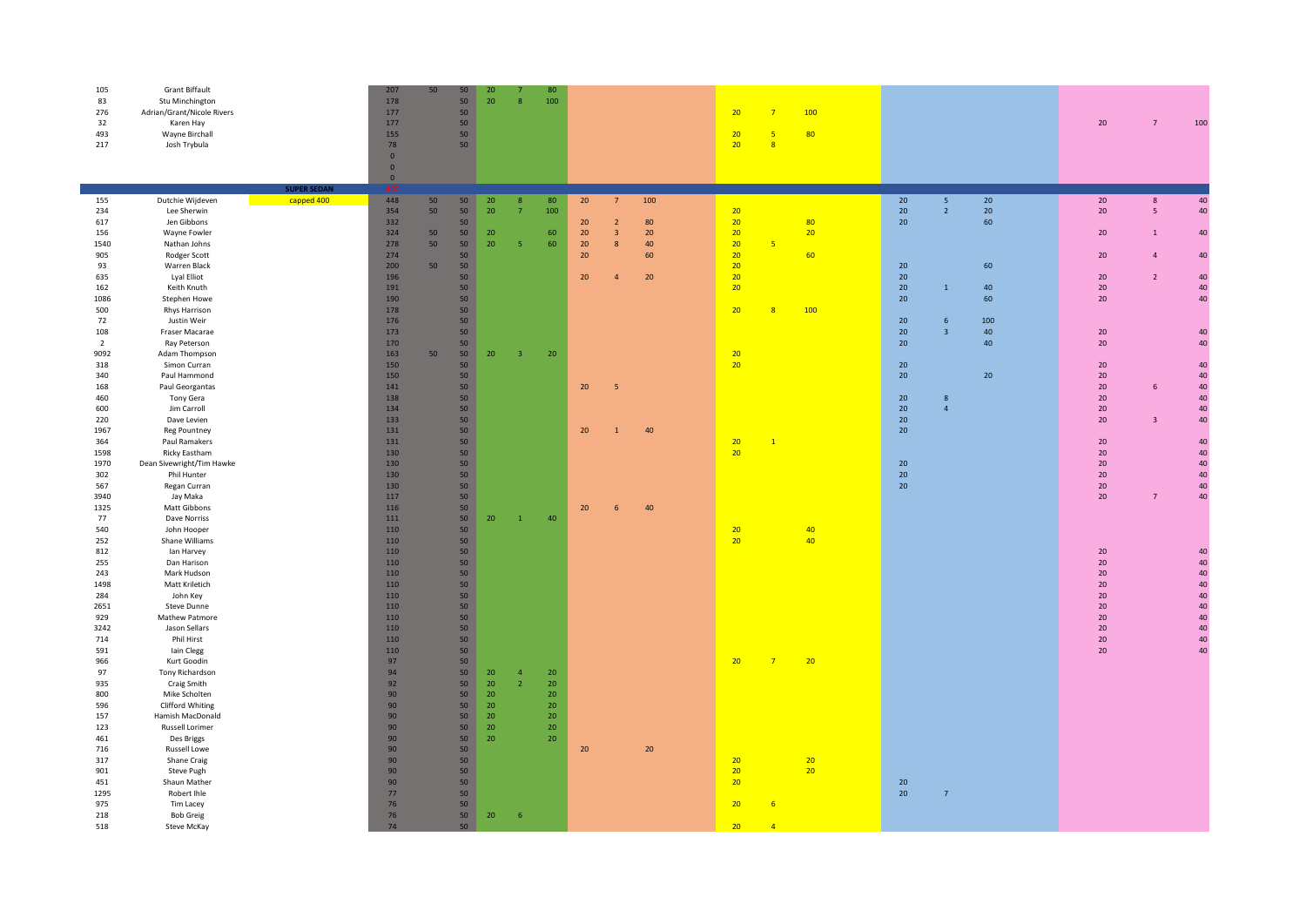| 105<br>83<br>276<br>32<br>493<br>217 | <b>Grant Biffault</b><br>Stu Minchington<br>Adrian/Grant/Nicole Rivers<br>Karen Hay<br>Wayne Birchall<br>Josh Trybula | <b>SUPER SEDAN</b> | 207<br>178<br>177<br>177<br>155<br>78<br>$\overline{0}$<br>$\overline{0}$<br>$\bf{0}$ | 50 | 50<br>50<br>50<br>50<br>50<br>50 | 20<br>20 | 8                       | 80<br>100             |          |                         |          | 20<br>20<br>20 <sup>°</sup> | $\overline{7}$<br>-5<br>8 | 100<br>80       |          |                 |          |  | 20           | $\overline{7}$ | 100      |
|--------------------------------------|-----------------------------------------------------------------------------------------------------------------------|--------------------|---------------------------------------------------------------------------------------|----|----------------------------------|----------|-------------------------|-----------------------|----------|-------------------------|----------|-----------------------------|---------------------------|-----------------|----------|-----------------|----------|--|--------------|----------------|----------|
| 155                                  | Dutchie Wijdeven                                                                                                      | capped 400         | 448                                                                                   | 50 | 50                               | 20       | $\boldsymbol{8}$        | 80                    | 20       | $7\overline{ }$         | 100      |                             |                           |                 | 20       | $5\phantom{.0}$ | 20       |  | 20           | $\bf 8$        | 40       |
| 234                                  | Lee Sherwin                                                                                                           |                    | 354                                                                                   | 50 | 50                               | 20       | $\overline{7}$          | 100                   |          |                         |          | 20                          |                           |                 | 20       | $\overline{2}$  | 20       |  | 20           | 5 <sup>1</sup> | 40       |
| 617                                  | Jen Gibbons                                                                                                           |                    | 332                                                                                   |    | 50                               |          |                         |                       | 20       | $\overline{2}$          | 80       | 20                          |                           | 80              | 20       |                 | 60       |  |              |                |          |
| 156                                  | Wayne Fowler                                                                                                          |                    | 324                                                                                   | 50 | 50 <sub>2</sub><br>50            | 20       | 5                       | 60                    | 20       | $\overline{\mathbf{3}}$ | 20       | 20<br>20                    | 5 <sup>5</sup>            | 20              |          |                 |          |  | 20           | $\mathbf{1}$   | 40       |
| 1540<br>905                          | Nathan Johns<br>Rodger Scott                                                                                          |                    | 278<br>274                                                                            | 50 | 50                               | 20       |                         | 60                    | 20<br>20 | 8                       | 40<br>60 | 20                          |                           | 60              |          |                 |          |  | 20           | $\Delta$       | 40       |
| 93                                   | Warren Black                                                                                                          |                    | 200                                                                                   | 50 | 50                               |          |                         |                       |          |                         |          | 20                          |                           |                 | 20       |                 | 60       |  |              |                |          |
| 635                                  | Lyal Elliot                                                                                                           |                    | 196                                                                                   |    | 50                               |          |                         |                       | 20       | $\overline{4}$          | 20       | 20                          |                           |                 | 20       |                 |          |  | 20           | $\overline{2}$ | 40       |
| 162                                  | Keith Knuth                                                                                                           |                    | 191                                                                                   |    | 50                               |          |                         |                       |          |                         |          | 20 <sub>2</sub>             |                           |                 | 20       | $\overline{1}$  | 40       |  | 20           |                | 40       |
| 1086                                 | Stephen Howe                                                                                                          |                    | 190                                                                                   |    | 50                               |          |                         |                       |          |                         |          |                             |                           |                 | 20       |                 | 60       |  | 20           |                | 40       |
| 500                                  | Rhys Harrison                                                                                                         |                    | 178                                                                                   |    | 50                               |          |                         |                       |          |                         |          | 20                          | 8                         | 100             |          |                 |          |  |              |                |          |
| 72                                   | Justin Weir                                                                                                           |                    | 176                                                                                   |    | 50                               |          |                         |                       |          |                         |          |                             |                           |                 | 20       | 6               | 100      |  |              |                |          |
| 108<br>$\overline{2}$                | Fraser Macarae<br>Ray Peterson                                                                                        |                    | 173<br>170                                                                            |    | 50<br>50                         |          |                         |                       |          |                         |          |                             |                           |                 | 20<br>20 | $\overline{3}$  | 40<br>40 |  | 20<br>$20\,$ |                | 40<br>40 |
| 9092                                 | Adam Thompson                                                                                                         |                    | 163                                                                                   | 50 | 50                               | 20       | $\overline{\mathbf{3}}$ | 20                    |          |                         |          | 20                          |                           |                 |          |                 |          |  |              |                |          |
| 318                                  | Simon Curran                                                                                                          |                    | 150                                                                                   |    | 50                               |          |                         |                       |          |                         |          | 20                          |                           |                 | 20       |                 |          |  | 20           |                | 40       |
| 340                                  | Paul Hammond                                                                                                          |                    | 150                                                                                   |    | 50                               |          |                         |                       |          |                         |          |                             |                           |                 | 20       |                 | 20       |  | 20           |                | 40       |
| 168                                  | Paul Georgantas                                                                                                       |                    | 141                                                                                   |    | 50                               |          |                         |                       | 20       | 5                       |          |                             |                           |                 |          |                 |          |  | 20           | 6              | 40       |
| 460                                  | Tony Gera                                                                                                             |                    | 138                                                                                   |    | 50                               |          |                         |                       |          |                         |          |                             |                           |                 | 20       | $\bf 8$         |          |  | $20\,$       |                | 40       |
| 600                                  | Jim Carroll                                                                                                           |                    | 134                                                                                   |    | 50                               |          |                         |                       |          |                         |          |                             |                           |                 | 20       | $\overline{4}$  |          |  | 20           |                | 40       |
| 220<br>1967                          | Dave Levien<br><b>Reg Pountney</b>                                                                                    |                    | 133<br>131                                                                            |    | 50<br>50                         |          |                         |                       | 20       | $\overline{1}$          | 40       |                             |                           |                 | 20<br>20 |                 |          |  | 20           | $\overline{3}$ | 40       |
| 364                                  | Paul Ramakers                                                                                                         |                    | 131                                                                                   |    | 50                               |          |                         |                       |          |                         |          | 20                          | $\mathbf{1}$              |                 |          |                 |          |  | 20           |                | 40       |
| 1598                                 | Ricky Eastham                                                                                                         |                    | 130                                                                                   |    | 50                               |          |                         |                       |          |                         |          | 20                          |                           |                 |          |                 |          |  | 20           |                | 40       |
| 1970                                 | Dean Sivewright/Tim Hawke                                                                                             |                    | 130                                                                                   |    | 50                               |          |                         |                       |          |                         |          |                             |                           |                 | 20       |                 |          |  | 20           |                | 40       |
| 302                                  | Phil Hunter                                                                                                           |                    | 130                                                                                   |    | 50                               |          |                         |                       |          |                         |          |                             |                           |                 | 20       |                 |          |  | 20           |                | 40       |
| 567                                  | Regan Curran                                                                                                          |                    | 130                                                                                   |    | 50                               |          |                         |                       |          |                         |          |                             |                           |                 | 20       |                 |          |  | $20\,$       |                | 40       |
| 3940                                 | Jay Maka                                                                                                              |                    | 117                                                                                   |    | 50                               |          |                         |                       |          |                         |          |                             |                           |                 |          |                 |          |  | 20           | $\overline{7}$ | 40       |
| 1325<br>77                           | Matt Gibbons<br>Dave Norriss                                                                                          |                    | 116<br>111                                                                            |    | 50<br>50                         | 20       | $\mathbf{1}$            | 40                    | 20       | $6\overline{6}$         | 40       |                             |                           |                 |          |                 |          |  |              |                |          |
| 540                                  | John Hooper                                                                                                           |                    | 110                                                                                   |    | 50                               |          |                         |                       |          |                         |          | 20                          |                           | 40              |          |                 |          |  |              |                |          |
| 252                                  | Shane Williams                                                                                                        |                    | 110                                                                                   |    | 50 <sub>2</sub>                  |          |                         |                       |          |                         |          | 20                          |                           | 40              |          |                 |          |  |              |                |          |
| 812                                  | lan Harvey                                                                                                            |                    | 110                                                                                   |    | 50                               |          |                         |                       |          |                         |          |                             |                           |                 |          |                 |          |  | 20           |                | 40       |
| 255                                  | Dan Harison                                                                                                           |                    | 110                                                                                   |    | 50                               |          |                         |                       |          |                         |          |                             |                           |                 |          |                 |          |  | 20           |                | 40       |
| 243                                  | Mark Hudson                                                                                                           |                    | 110                                                                                   |    | 50                               |          |                         |                       |          |                         |          |                             |                           |                 |          |                 |          |  | 20           |                | 40       |
| 1498                                 | Matt Kriletich                                                                                                        |                    | 110                                                                                   |    | 50                               |          |                         |                       |          |                         |          |                             |                           |                 |          |                 |          |  | 20           |                | 40       |
| 284                                  | John Key                                                                                                              |                    | 110<br>110                                                                            |    | 50                               |          |                         |                       |          |                         |          |                             |                           |                 |          |                 |          |  | $20\,$<br>20 |                | 40<br>40 |
| 2651<br>929                          | Steve Dunne<br>Mathew Patmore                                                                                         |                    | 110                                                                                   |    | 50<br>50                         |          |                         |                       |          |                         |          |                             |                           |                 |          |                 |          |  | $20\,$       |                | 40       |
| 3242                                 | Jason Sellars                                                                                                         |                    | 110                                                                                   |    | 50                               |          |                         |                       |          |                         |          |                             |                           |                 |          |                 |          |  | 20           |                | 40       |
| 714                                  | Phil Hirst                                                                                                            |                    | 110                                                                                   |    | 50                               |          |                         |                       |          |                         |          |                             |                           |                 |          |                 |          |  | 20           |                | 40       |
| 591                                  | lain Clegg                                                                                                            |                    | 110                                                                                   |    | 50 <sub>2</sub>                  |          |                         |                       |          |                         |          |                             |                           |                 |          |                 |          |  | $20\,$       |                | 40       |
| 966                                  | Kurt Goodin                                                                                                           |                    | 97                                                                                    |    | 50                               |          |                         |                       |          |                         |          | 20 <sub>2</sub>             | $\overline{7}$            | 20              |          |                 |          |  |              |                |          |
| 97                                   | Tony Richardson                                                                                                       |                    | 94                                                                                    |    | 50                               | 20       | $\overline{4}$          | 20 <sup>°</sup>       |          |                         |          |                             |                           |                 |          |                 |          |  |              |                |          |
| 935<br>800                           | Craig Smith                                                                                                           |                    | 92<br>90                                                                              |    | 50<br>50                         | 20       | $\overline{z}$          | 20<br>20 <sub>2</sub> |          |                         |          |                             |                           |                 |          |                 |          |  |              |                |          |
| 596                                  | Mike Scholten<br>Clifford Whiting                                                                                     |                    | 90 <sup>°</sup>                                                                       |    | 50                               | 20<br>20 |                         | 20 <sub>2</sub>       |          |                         |          |                             |                           |                 |          |                 |          |  |              |                |          |
| 157                                  | Hamish MacDonald                                                                                                      |                    | 90                                                                                    |    | 50                               | 20       |                         | 20 <sup>°</sup>       |          |                         |          |                             |                           |                 |          |                 |          |  |              |                |          |
| 123                                  | Russell Lorimer                                                                                                       |                    | 90                                                                                    |    | 50                               | 20       |                         | 20 <sup>°</sup>       |          |                         |          |                             |                           |                 |          |                 |          |  |              |                |          |
| 461                                  | Des Briggs                                                                                                            |                    | 90 <sub>o</sub>                                                                       |    | 50                               | 20       |                         | 20                    |          |                         |          |                             |                           |                 |          |                 |          |  |              |                |          |
| 716                                  | <b>Russell Lowe</b>                                                                                                   |                    | 90                                                                                    |    | 50                               |          |                         |                       | 20       |                         | 20       |                             |                           |                 |          |                 |          |  |              |                |          |
| 317                                  | Shane Craig                                                                                                           |                    | 90 <sub>o</sub>                                                                       |    | 50                               |          |                         |                       |          |                         |          | 20                          |                           | 20              |          |                 |          |  |              |                |          |
| 901                                  | Steve Pugh                                                                                                            |                    | 90                                                                                    |    | 50                               |          |                         |                       |          |                         |          | 20                          |                           | 20 <sup>°</sup> |          |                 |          |  |              |                |          |
| 451<br>1295                          | Shaun Mather<br>Robert Ihle                                                                                           |                    | 90<br>77                                                                              |    | 50<br>50                         |          |                         |                       |          |                         |          | 20                          |                           |                 | 20<br>20 | $\overline{7}$  |          |  |              |                |          |
| 975                                  | Tim Lacey                                                                                                             |                    | 76                                                                                    |    | 50                               |          |                         |                       |          |                         |          | 20                          | 6                         |                 |          |                 |          |  |              |                |          |
| 218                                  | <b>Bob Greig</b>                                                                                                      |                    | 76                                                                                    |    | 50                               | 20       | 6                       |                       |          |                         |          |                             |                           |                 |          |                 |          |  |              |                |          |
| 518                                  | Steve McKay                                                                                                           |                    | 74                                                                                    |    | 50                               |          |                         |                       |          |                         |          | 20 <sup>°</sup>             | $\overline{4}$            |                 |          |                 |          |  |              |                |          |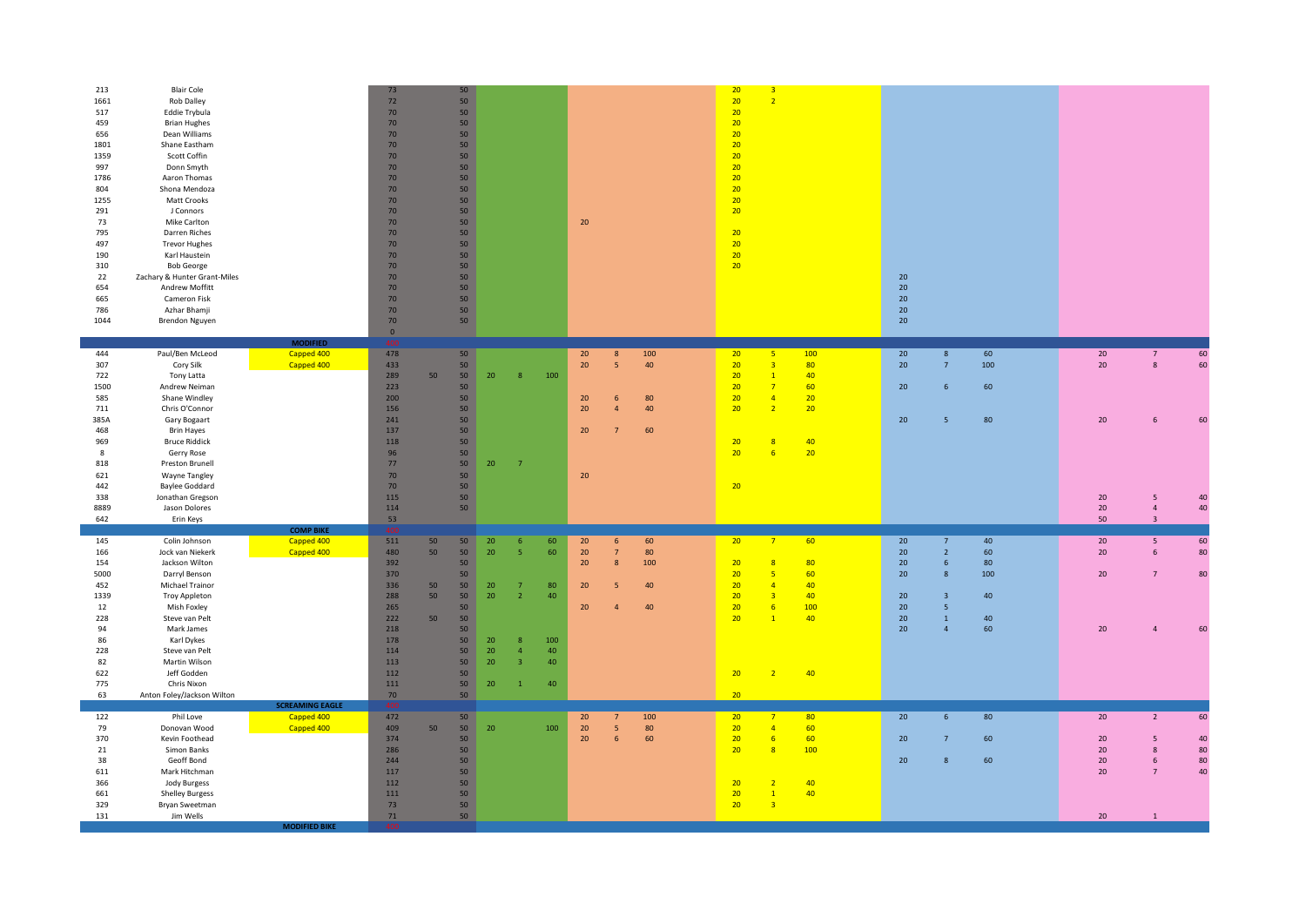| 213<br>1661<br>517<br>459<br>656<br>1801<br>1359<br>997<br>1786<br>804<br>1255<br>291<br>73<br>795<br>497<br>190<br>310<br>22<br>654<br>665<br>786<br>1044 | <b>Blair Cole</b><br>Rob Dalley<br>Eddie Trybula<br><b>Brian Hughes</b><br>Dean Williams<br>Shane Eastham<br>Scott Coffin<br>Donn Smyth<br>Aaron Thomas<br>Shona Mendoza<br>Matt Crooks<br>J Connors<br>Mike Carlton<br>Darren Riches<br><b>Trevor Hughes</b><br>Karl Haustein<br><b>Bob George</b><br>Zachary & Hunter Grant-Miles<br>Andrew Moffitt<br>Cameron Fisk<br>Azhar Bhamji<br>Brendon Nguyen | <b>MODIFIED</b>                      | 73<br>$72\,$<br>70<br>70<br>70<br>70<br>70<br>70<br>70<br>$70$<br>70<br>70<br>70<br>70<br>70<br>70<br>70<br>70<br>70<br>70<br>70<br>70<br>$\circ$<br>400 |    | 50<br>50<br>50<br>50<br>50<br>50<br>50<br>50<br>50<br>50 <sub>2</sub><br>50<br>50<br>50<br>50<br>50<br>50<br>50<br>50<br>50<br>50<br>50<br>50 |    |                |     | 20       |                  |           | 20<br>20<br>20<br>20<br>20<br>20<br>20<br>20<br>20<br>20<br>20<br>20<br>20<br>20<br>20<br>20 | $\overline{3}$<br>$\overline{2}$          |           | 20<br>20 <sup>°</sup><br>20 <sub>2</sub><br>20<br>20 <sub>2</sub> |                              |          |              |                                  |          |
|------------------------------------------------------------------------------------------------------------------------------------------------------------|---------------------------------------------------------------------------------------------------------------------------------------------------------------------------------------------------------------------------------------------------------------------------------------------------------------------------------------------------------------------------------------------------------|--------------------------------------|----------------------------------------------------------------------------------------------------------------------------------------------------------|----|-----------------------------------------------------------------------------------------------------------------------------------------------|----|----------------|-----|----------|------------------|-----------|----------------------------------------------------------------------------------------------|-------------------------------------------|-----------|-------------------------------------------------------------------|------------------------------|----------|--------------|----------------------------------|----------|
| 444                                                                                                                                                        | Paul/Ben McLeod                                                                                                                                                                                                                                                                                                                                                                                         | Capped 400                           | 478                                                                                                                                                      |    | 50                                                                                                                                            |    |                |     | 20       | $\boldsymbol{8}$ | 100       | 20                                                                                           | 5                                         | 100       | 20                                                                | $\boldsymbol{8}$             | 60       | $20\,$       | $\overline{7}$                   | 60       |
| 307<br>722                                                                                                                                                 | Cory Silk<br>Tony Latta                                                                                                                                                                                                                                                                                                                                                                                 | Capped 400                           | 433<br>289                                                                                                                                               | 50 | 50<br>50                                                                                                                                      | 20 | 8              | 100 | 20       | 5                | 40        | 20<br>20                                                                                     | $\overline{\mathbf{3}}$<br>$\overline{1}$ | 80<br>40  | 20 <sub>2</sub>                                                   | $\overline{7}$               | 100      | 20           | $\mathbf{g}$                     | 60       |
| 1500<br>585                                                                                                                                                | Andrew Neiman<br>Shane Windley                                                                                                                                                                                                                                                                                                                                                                          |                                      | 223<br>200                                                                                                                                               |    | 50<br>50                                                                                                                                      |    |                |     | 20       | 6                | 80        | 20<br>20 <sub>2</sub>                                                                        | $\overline{7}$<br>$\overline{4}$          | 60<br>20  | 20 <sub>2</sub>                                                   | $6\phantom{1}6$              | 60       |              |                                  |          |
| 711                                                                                                                                                        | Chris O'Connor                                                                                                                                                                                                                                                                                                                                                                                          |                                      | 156                                                                                                                                                      |    | 50                                                                                                                                            |    |                |     | 20       | 4                | 40        | 20                                                                                           | $\overline{2}$                            | 20        |                                                                   |                              |          |              |                                  |          |
| 385A                                                                                                                                                       | Gary Bogaart                                                                                                                                                                                                                                                                                                                                                                                            |                                      | 241                                                                                                                                                      |    | 50                                                                                                                                            |    |                |     |          |                  |           |                                                                                              |                                           |           | 20 <sub>2</sub>                                                   | 5                            | 80       | 20           | 6                                | 60       |
| 468<br>969                                                                                                                                                 | <b>Brin Hayes</b><br><b>Bruce Riddick</b>                                                                                                                                                                                                                                                                                                                                                               |                                      | 137<br>118                                                                                                                                               |    | 50<br>50                                                                                                                                      |    |                |     | 20       |                  | 60        | 20                                                                                           | $\overline{8}$                            | 40        |                                                                   |                              |          |              |                                  |          |
| 8                                                                                                                                                          | Gerry Rose                                                                                                                                                                                                                                                                                                                                                                                              |                                      | 96                                                                                                                                                       |    | 50                                                                                                                                            |    |                |     |          |                  |           | 20 <sub>2</sub>                                                                              | 6                                         | 20        |                                                                   |                              |          |              |                                  |          |
| 818                                                                                                                                                        | Preston Brunell                                                                                                                                                                                                                                                                                                                                                                                         |                                      | 77                                                                                                                                                       |    | 50                                                                                                                                            | 20 | $\overline{7}$ |     |          |                  |           |                                                                                              |                                           |           |                                                                   |                              |          |              |                                  |          |
| 621<br>442                                                                                                                                                 | Wayne Tangley<br><b>Baylee Goddard</b>                                                                                                                                                                                                                                                                                                                                                                  |                                      | 70<br>70                                                                                                                                                 |    | 50<br>50                                                                                                                                      |    |                |     | 20       |                  |           | 20                                                                                           |                                           |           |                                                                   |                              |          |              |                                  |          |
| 338                                                                                                                                                        | Jonathan Gregson                                                                                                                                                                                                                                                                                                                                                                                        |                                      | 115                                                                                                                                                      |    | 50                                                                                                                                            |    |                |     |          |                  |           |                                                                                              |                                           |           |                                                                   |                              |          | 20           | -5                               | 40       |
| 8889<br>642                                                                                                                                                | Jason Dolores                                                                                                                                                                                                                                                                                                                                                                                           |                                      | 114<br>53                                                                                                                                                |    | 50                                                                                                                                            |    |                |     |          |                  |           |                                                                                              |                                           |           |                                                                   |                              |          | $20\,$<br>50 | $\overline{4}$<br>$\overline{3}$ | 40       |
|                                                                                                                                                            | Erin Keys                                                                                                                                                                                                                                                                                                                                                                                               | <b>COMP BIKE</b>                     |                                                                                                                                                          |    |                                                                                                                                               |    |                |     |          |                  |           |                                                                                              |                                           |           |                                                                   |                              |          |              |                                  |          |
| 145                                                                                                                                                        | Colin Johnson                                                                                                                                                                                                                                                                                                                                                                                           | Capped 400                           | 511                                                                                                                                                      | 50 | 50                                                                                                                                            | 20 | 6 <sup>1</sup> | 60  | 20       | 6                | 60        | 20                                                                                           | $\overline{7}$                            | 60        | 20                                                                | $\overline{7}$               | 40       | 20           | 5                                | 60       |
| 166<br>154                                                                                                                                                 | Jock van Niekerk<br>Jackson Wilton                                                                                                                                                                                                                                                                                                                                                                      | Capped 400                           | 480<br>392                                                                                                                                               | 50 | 50<br>50                                                                                                                                      | 20 | 5 <sup>1</sup> | 60  | 20<br>20 | 7<br>8           | 80<br>100 | 20                                                                                           | $\overline{8}$                            | 80        | 20 <sub>2</sub><br>20 <sub>2</sub>                                | $\overline{2}$<br>6          | 60<br>80 | 20           | 6                                | 80       |
| 5000                                                                                                                                                       | Darryl Benson                                                                                                                                                                                                                                                                                                                                                                                           |                                      | 370                                                                                                                                                      |    | 50                                                                                                                                            |    |                |     |          |                  |           | 20                                                                                           | 5                                         | 60        | 20 <sup>°</sup>                                                   | $\overline{8}$               | 100      | 20           | $\overline{7}$                   | 80       |
| 452                                                                                                                                                        | Michael Trainor                                                                                                                                                                                                                                                                                                                                                                                         |                                      | 336                                                                                                                                                      | 50 | 50                                                                                                                                            | 20 | $\overline{7}$ | 80  | 20       | 5                | 40        | 20                                                                                           | $\overline{4}$                            | 40        |                                                                   |                              |          |              |                                  |          |
| 1339<br>12                                                                                                                                                 | Troy Appleton<br>Mish Foxley                                                                                                                                                                                                                                                                                                                                                                            |                                      | 288<br>265                                                                                                                                               | 50 | 50<br>50                                                                                                                                      | 20 | 2 <sup>1</sup> | 40  | 20       | $\Delta$         | 40        | 20<br>20                                                                                     | $\overline{\mathbf{3}}$<br>6              | 40<br>100 | 20<br>20 <sub>2</sub>                                             | $\overline{\mathbf{3}}$<br>5 | 40       |              |                                  |          |
| 228                                                                                                                                                        | Steve van Pelt                                                                                                                                                                                                                                                                                                                                                                                          |                                      | 222                                                                                                                                                      | 50 | 50                                                                                                                                            |    |                |     |          |                  |           | 20 <sub>2</sub>                                                                              | $\overline{1}$                            | 40        | 20 <sub>2</sub>                                                   | $\mathbf 1$                  | 40       |              |                                  |          |
| 94<br>86                                                                                                                                                   | Mark James<br>Karl Dykes                                                                                                                                                                                                                                                                                                                                                                                |                                      | 218<br>178                                                                                                                                               |    | 50<br>50                                                                                                                                      | 20 | 8 <sub>o</sub> | 100 |          |                  |           |                                                                                              |                                           |           | 20 <sup>°</sup>                                                   | $\overline{4}$               | 60       | 20           | $\overline{4}$                   | 60       |
| 228                                                                                                                                                        | Steve van Pelt                                                                                                                                                                                                                                                                                                                                                                                          |                                      | 114                                                                                                                                                      |    | 50                                                                                                                                            | 20 | $\overline{4}$ | 40  |          |                  |           |                                                                                              |                                           |           |                                                                   |                              |          |              |                                  |          |
| 82                                                                                                                                                         | Martin Wilson                                                                                                                                                                                                                                                                                                                                                                                           |                                      | 113                                                                                                                                                      |    | 50                                                                                                                                            | 20 | $\overline{3}$ | 40  |          |                  |           |                                                                                              |                                           |           |                                                                   |                              |          |              |                                  |          |
| 622<br>775                                                                                                                                                 | Jeff Godden<br>Chris Nixon                                                                                                                                                                                                                                                                                                                                                                              |                                      | 112<br>111                                                                                                                                               |    | 50<br>50                                                                                                                                      | 20 | $\mathbf{1}$   | 40  |          |                  |           | 20 <sup>°</sup>                                                                              | $\overline{z}$                            | 40        |                                                                   |                              |          |              |                                  |          |
| 63                                                                                                                                                         | Anton Foley/Jackson Wilton                                                                                                                                                                                                                                                                                                                                                                              |                                      | 70                                                                                                                                                       |    | 50                                                                                                                                            |    |                |     |          |                  |           | 20                                                                                           |                                           |           |                                                                   |                              |          |              |                                  |          |
| 122                                                                                                                                                        | Phil Love                                                                                                                                                                                                                                                                                                                                                                                               | <b>SCREAMING EAGLE</b><br>Capped 400 | 472                                                                                                                                                      |    | 50                                                                                                                                            |    |                |     | 20       | $\overline{7}$   | 100       | 20                                                                                           | $\overline{7}$                            | 80        | 20                                                                | $6\overline{6}$              | 80       | 20           | $\overline{2}$                   | 60       |
| 79                                                                                                                                                         | Donovan Wood                                                                                                                                                                                                                                                                                                                                                                                            | Capped 400                           | 409                                                                                                                                                      | 50 | 50                                                                                                                                            | 20 |                | 100 | 20       | 5                | 80        | 20                                                                                           | $\overline{4}$                            | 60        |                                                                   |                              |          |              |                                  |          |
| 370                                                                                                                                                        | Kevin Foothead                                                                                                                                                                                                                                                                                                                                                                                          |                                      | 374                                                                                                                                                      |    | 50                                                                                                                                            |    |                |     | 20       | 6                | 60        | 20 <sup>2</sup>                                                                              | 6                                         | 60        | 20 <sup>°</sup>                                                   | $\overline{7}$               | 60       | 20           | 5                                | 40       |
| 21<br>38                                                                                                                                                   | Simon Banks<br>Geoff Bond                                                                                                                                                                                                                                                                                                                                                                               |                                      | 286<br>244                                                                                                                                               |    | 50<br>50                                                                                                                                      |    |                |     |          |                  |           | 20                                                                                           | $\overline{8}$                            | 100       | 20 <sub>2</sub>                                                   | 8                            | 60       | 20<br>$20\,$ | $\mathbf{8}$<br>6                | 80<br>80 |
| 611                                                                                                                                                        | Mark Hitchman                                                                                                                                                                                                                                                                                                                                                                                           |                                      | 117                                                                                                                                                      |    | 50                                                                                                                                            |    |                |     |          |                  |           |                                                                                              |                                           |           |                                                                   |                              |          | 20           | $\overline{7}$                   | 40       |
| 366<br>661                                                                                                                                                 | Jody Burgess<br><b>Shelley Burgess</b>                                                                                                                                                                                                                                                                                                                                                                  |                                      | 112<br>111                                                                                                                                               |    | 50<br>50                                                                                                                                      |    |                |     |          |                  |           | 20<br>20 <sub>2</sub>                                                                        | $\overline{2}$<br>$\overline{1}$          | 40<br>40  |                                                                   |                              |          |              |                                  |          |
| 329                                                                                                                                                        | Bryan Sweetman                                                                                                                                                                                                                                                                                                                                                                                          |                                      | 73                                                                                                                                                       |    | 50                                                                                                                                            |    |                |     |          |                  |           | 20 <sub>2</sub>                                                                              | $\overline{\mathbf{3}}$                   |           |                                                                   |                              |          |              |                                  |          |
| 131                                                                                                                                                        | Jim Wells                                                                                                                                                                                                                                                                                                                                                                                               | <b>MODIFIED BIKE</b>                 | $71\,$                                                                                                                                                   |    | 50                                                                                                                                            |    |                |     |          |                  |           |                                                                                              |                                           |           |                                                                   |                              |          | $20\,$       | $\overline{1}$                   |          |
|                                                                                                                                                            |                                                                                                                                                                                                                                                                                                                                                                                                         |                                      |                                                                                                                                                          |    |                                                                                                                                               |    |                |     |          |                  |           |                                                                                              |                                           |           |                                                                   |                              |          |              |                                  |          |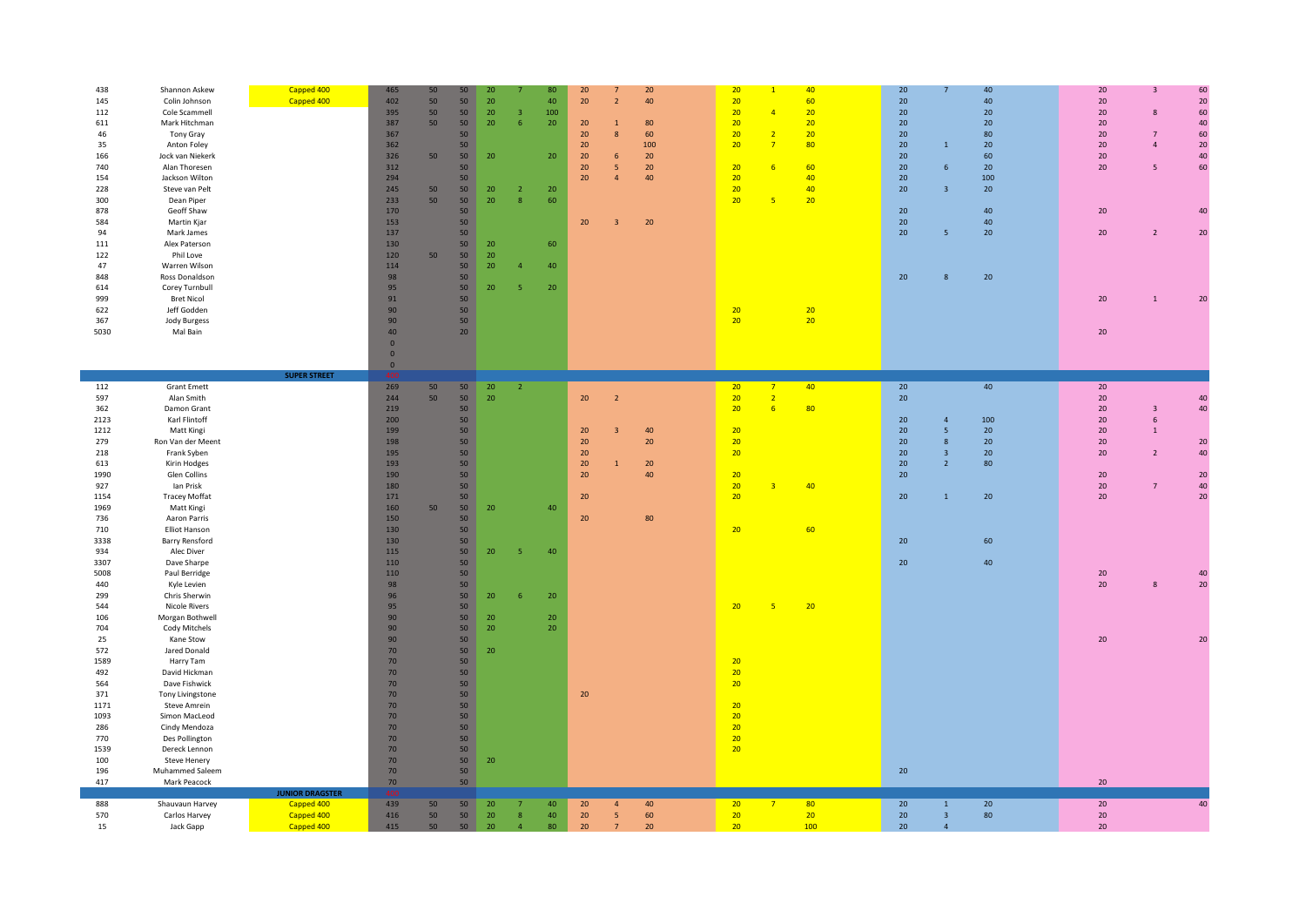| 438  | Shannon Askew        | Capped 400             | 465             | 50 | 50              | 20              |                         | 80              | 20                            | 20  | 20 |                | 40  | 20     |                | 40  | 20     | 3              | 60 |
|------|----------------------|------------------------|-----------------|----|-----------------|-----------------|-------------------------|-----------------|-------------------------------|-----|----|----------------|-----|--------|----------------|-----|--------|----------------|----|
|      |                      |                        |                 |    | 50              |                 |                         |                 | $\overline{2}$                |     | 20 |                |     |        |                | 40  |        |                | 20 |
| 145  | Colin Johnson        | Capped 400             | 402             | 50 |                 | 20              |                         | 40              | 20                            | 40  |    |                | 60  | 20     |                |     | 20     |                |    |
| 112  | Cole Scammell        |                        | 395             | 50 | 50              | 20 <sub>2</sub> | $\overline{\mathbf{3}}$ | 100             |                               |     | 20 | $\overline{A}$ | 20  | 20     |                | 20  | $20\,$ | 8              | 60 |
| 611  | Mark Hitchman        |                        | 387             | 50 | 50              | 20              | 6                       | 20 <sub>2</sub> | 20<br>$\mathbf{1}$            | 80  | 20 |                | 20  | 20     |                | 20  | $20\,$ |                | 40 |
|      |                      |                        |                 |    |                 |                 |                         |                 |                               |     |    |                |     |        |                |     |        |                |    |
| 46   | Tony Gray            |                        | 367             |    | 50              |                 |                         |                 | 20<br>8                       | 60  | 20 | $\overline{2}$ | 20  | 20     |                | 80  | 20     | $\overline{7}$ | 60 |
| 35   | Anton Foley          |                        | 362             |    | 50              |                 |                         |                 | $20\,$                        | 100 | 20 | $\overline{7}$ | 80  | 20     | $\overline{1}$ | 20  | $20\,$ | $\Delta$       | 20 |
|      |                      |                        |                 |    |                 |                 |                         |                 |                               |     |    |                |     |        |                |     |        |                | 40 |
| 166  | Jock van Niekerk     |                        | 326             | 50 | 50              | 20              |                         | 20 <sub>2</sub> | 20<br>$6\phantom{.}6$         | 20  |    |                |     | 20     |                | 60  | 20     |                |    |
| 740  | Alan Thoresen        |                        | 312             |    | 50              |                 |                         |                 | 20<br>-5                      | 20  | 20 | 6              | 60  | 20     | 6              | 20  | 20     | 5              | 60 |
| 154  | Jackson Wilton       |                        | 294             |    | 50              |                 |                         |                 | 20<br>$\overline{4}$          | 40  | 20 |                | 40  | 20     |                | 100 |        |                |    |
|      |                      |                        |                 |    |                 |                 |                         |                 |                               |     |    |                |     |        |                |     |        |                |    |
| 228  | Steve van Pelt       |                        | 245             | 50 | 50              | 20              | $\overline{2}$          | 20              |                               |     | 20 |                | 40  | 20     | $\overline{3}$ | 20  |        |                |    |
| 300  | Dean Piper           |                        | 233             | 50 | 50              | 20 <sub>2</sub> | 8                       | 60              |                               |     | 20 | 5              | 20  |        |                |     |        |                |    |
| 878  | Geoff Shaw           |                        | 170             |    | 50              |                 |                         |                 |                               |     |    |                |     | 20     |                | 40  | 20     |                | 40 |
|      |                      |                        |                 |    |                 |                 |                         |                 |                               |     |    |                |     |        |                |     |        |                |    |
| 584  | Martin Kjar          |                        | 153             |    | 50              |                 |                         |                 | 20<br>$\overline{\mathbf{3}}$ | 20  |    |                |     | 20     |                | 40  |        |                |    |
| 94   | Mark James           |                        | 137             |    | 50              |                 |                         |                 |                               |     |    |                |     | 20     | 5              | 20  | $20\,$ | $\overline{2}$ | 20 |
| 111  | Alex Paterson        |                        | 130             |    |                 | 20              |                         | 60              |                               |     |    |                |     |        |                |     |        |                |    |
|      |                      |                        |                 |    | 50              |                 |                         |                 |                               |     |    |                |     |        |                |     |        |                |    |
| 122  | Phil Love            |                        | 120             | 50 | 50              | 20 <sub>2</sub> |                         |                 |                               |     |    |                |     |        |                |     |        |                |    |
| 47   | Warren Wilson        |                        | 114             |    | 50              | 20              | A                       | 40              |                               |     |    |                |     |        |                |     |        |                |    |
|      |                      |                        |                 |    |                 |                 |                         |                 |                               |     |    |                |     |        |                |     |        |                |    |
| 848  | Ross Donaldson       |                        | 98              |    | 50              |                 |                         |                 |                               |     |    |                |     | 20     | 8              | 20  |        |                |    |
| 614  | Corey Turnbull       |                        | 95              |    | 50              | 20              | -5                      | 20              |                               |     |    |                |     |        |                |     |        |                |    |
| 999  | <b>Bret Nicol</b>    |                        | 91              |    | 50              |                 |                         |                 |                               |     |    |                |     |        |                |     | 20     | $\mathbf{1}$   |    |
|      |                      |                        |                 |    |                 |                 |                         |                 |                               |     |    |                |     |        |                |     |        |                | 20 |
| 622  | Jeff Godden          |                        | 90 <sup>°</sup> |    | 50              |                 |                         |                 |                               |     | 20 |                | 20  |        |                |     |        |                |    |
| 367  | Jody Burgess         |                        | 90              |    | 50              |                 |                         |                 |                               |     | 20 |                | 20  |        |                |     |        |                |    |
|      |                      |                        |                 |    |                 |                 |                         |                 |                               |     |    |                |     |        |                |     |        |                |    |
| 5030 | Mal Bain             |                        | 40              |    | 20 <sub>2</sub> |                 |                         |                 |                               |     |    |                |     |        |                |     | 20     |                |    |
|      |                      |                        | $\mathbf{0}$    |    |                 |                 |                         |                 |                               |     |    |                |     |        |                |     |        |                |    |
|      |                      |                        | $\mathbf{0}$    |    |                 |                 |                         |                 |                               |     |    |                |     |        |                |     |        |                |    |
|      |                      |                        |                 |    |                 |                 |                         |                 |                               |     |    |                |     |        |                |     |        |                |    |
|      |                      |                        | $\bf{0}$        |    |                 |                 |                         |                 |                               |     |    |                |     |        |                |     |        |                |    |
|      |                      | <b>SUPER STREET</b>    |                 |    |                 |                 |                         |                 |                               |     |    |                |     |        |                |     |        |                |    |
| 112  | <b>Grant Emett</b>   |                        | 269             | 50 | 50              | 20 <sup>°</sup> | $\overline{2}$          |                 |                               |     | 20 | $\overline{7}$ | 40  | 20     |                | 40  | 20     |                |    |
| 597  | Alan Smith           |                        | 244             | 50 | 50              | 20 <sup>°</sup> |                         |                 | 20<br>$\overline{2}$          |     | 20 | $\overline{2}$ |     | 20     |                |     | $20\,$ |                | 40 |
|      |                      |                        |                 |    |                 |                 |                         |                 |                               |     |    |                |     |        |                |     |        |                |    |
| 362  | Damon Grant          |                        | 219             |    | 50              |                 |                         |                 |                               |     | 20 | 6              | 80  |        |                |     | 20     | $\overline{3}$ | 40 |
| 2123 | Karl Flintoff        |                        | 200             |    | 50              |                 |                         |                 |                               |     |    |                |     | 20     | $\overline{4}$ | 100 | $20\,$ | 6              |    |
|      |                      |                        |                 |    |                 |                 |                         |                 |                               |     |    |                |     |        |                |     |        |                |    |
| 1212 | Matt Kingi           |                        | 199             |    | 50              |                 |                         |                 | 20<br>$\overline{\mathbf{3}}$ | 40  | 20 |                |     | 20     | 5              | 20  | 20     | $\mathbf{1}$   |    |
| 279  | Ron Van der Meent    |                        | 198             |    | 50              |                 |                         |                 | 20                            | 20  | 20 |                |     | 20     | 8              | 20  | 20     |                | 20 |
| 218  | Frank Syben          |                        | 195             |    | 50              |                 |                         |                 | 20                            |     | 20 |                |     | 20     | $\overline{3}$ | 20  | $20\,$ | $\overline{2}$ | 40 |
|      |                      |                        |                 |    |                 |                 |                         |                 |                               |     |    |                |     |        |                |     |        |                |    |
| 613  | Kirin Hodges         |                        | 193             |    | 50              |                 |                         |                 | 20<br>$\mathbf{1}$            | 20  |    |                |     | 20     | $2^{\circ}$    | 80  |        |                |    |
| 1990 | Glen Collins         |                        | 190             |    | 50              |                 |                         |                 | 20                            | 40  | 20 |                |     | 20     |                |     | 20     |                | 20 |
|      |                      |                        |                 |    | 50              |                 |                         |                 |                               |     | 20 | $\overline{3}$ | 40  |        |                |     |        | $\overline{7}$ | 40 |
| 927  | lan Prisk            |                        | 180             |    |                 |                 |                         |                 |                               |     |    |                |     |        |                |     | $20\,$ |                |    |
| 1154 | <b>Tracey Moffat</b> |                        | 171             |    | 50              |                 |                         |                 | 20                            |     | 20 |                |     | 20     | $1\,$          | 20  | 20     |                | 20 |
| 1969 | Matt Kingi           |                        | 160             | 50 | 50              | 20              |                         | 40              |                               |     |    |                |     |        |                |     |        |                |    |
|      |                      |                        |                 |    |                 |                 |                         |                 |                               |     |    |                |     |        |                |     |        |                |    |
| 736  | Aaron Parris         |                        | 150             |    | 50              |                 |                         |                 | 20                            | 80  |    |                |     |        |                |     |        |                |    |
| 710  | <b>Elliot Hanson</b> |                        | 130             |    | 50              |                 |                         |                 |                               |     | 20 |                | 60  |        |                |     |        |                |    |
| 3338 | Barry Rensford       |                        | 130             |    | 50              |                 |                         |                 |                               |     |    |                |     | $20\,$ |                | 60  |        |                |    |
|      |                      |                        |                 |    |                 |                 |                         |                 |                               |     |    |                |     |        |                |     |        |                |    |
| 934  | Alec Diver           |                        | 115             |    | 50              | 20              | -5                      | 40              |                               |     |    |                |     |        |                |     |        |                |    |
| 3307 | Dave Sharpe          |                        | 110             |    | 50              |                 |                         |                 |                               |     |    |                |     | 20     |                | 40  |        |                |    |
| 5008 |                      |                        | 110             |    | 50              |                 |                         |                 |                               |     |    |                |     |        |                |     | 20     |                |    |
|      | Paul Berridge        |                        |                 |    |                 |                 |                         |                 |                               |     |    |                |     |        |                |     |        |                | 40 |
| 440  | Kyle Levien          |                        | 98              |    | 50              |                 |                         |                 |                               |     |    |                |     |        |                |     | $20\,$ | 8              | 20 |
| 299  | Chris Sherwin        |                        | 96              |    | 50              | 20 <sub>2</sub> | 6                       | 20 <sub>2</sub> |                               |     |    |                |     |        |                |     |        |                |    |
|      |                      |                        |                 |    |                 |                 |                         |                 |                               |     |    |                |     |        |                |     |        |                |    |
| 544  | <b>Nicole Rivers</b> |                        | 95              |    | 50              |                 |                         |                 |                               |     | 20 | -5             | 20  |        |                |     |        |                |    |
| 106  | Morgan Bothwell      |                        | 90              |    | 50              | 20              |                         | 20 <sub>2</sub> |                               |     |    |                |     |        |                |     |        |                |    |
| 704  | Cody Mitchels        |                        | 90              |    | 50              | 20 <sup>°</sup> |                         | 20              |                               |     |    |                |     |        |                |     |        |                |    |
|      |                      |                        |                 |    |                 |                 |                         |                 |                               |     |    |                |     |        |                |     |        |                |    |
| 25   | Kane Stow            |                        | 90              |    | 50              |                 |                         |                 |                               |     |    |                |     |        |                |     | $20\,$ |                | 20 |
| 572  | Jared Donald         |                        | 70              |    | 50 <sub>2</sub> | 20              |                         |                 |                               |     |    |                |     |        |                |     |        |                |    |
| 1589 | Harry Tam            |                        | 70              |    | 50              |                 |                         |                 |                               |     | 20 |                |     |        |                |     |        |                |    |
|      |                      |                        |                 |    |                 |                 |                         |                 |                               |     |    |                |     |        |                |     |        |                |    |
| 492  | David Hickman        |                        | 70              |    | 50              |                 |                         |                 |                               |     | 20 |                |     |        |                |     |        |                |    |
| 564  | Dave Fishwick        |                        | 70              |    | 50              |                 |                         |                 |                               |     | 20 |                |     |        |                |     |        |                |    |
|      |                      |                        |                 |    |                 |                 |                         |                 |                               |     |    |                |     |        |                |     |        |                |    |
| 371  | Tony Livingstone     |                        | 70              |    | 50              |                 |                         |                 | 20                            |     |    |                |     |        |                |     |        |                |    |
| 1171 | Steve Amrein         |                        | 70              |    | 50              |                 |                         |                 |                               |     | 20 |                |     |        |                |     |        |                |    |
| 1093 | Simon MacLeod        |                        | 70              |    | 50              |                 |                         |                 |                               |     | 20 |                |     |        |                |     |        |                |    |
|      |                      |                        |                 |    |                 |                 |                         |                 |                               |     |    |                |     |        |                |     |        |                |    |
| 286  | Cindy Mendoza        |                        | 70              |    | 50              |                 |                         |                 |                               |     | 20 |                |     |        |                |     |        |                |    |
|      |                      |                        | 70              |    | 50              |                 |                         |                 |                               |     | 20 |                |     |        |                |     |        |                |    |
| 770  | Des Pollington       |                        | 70              |    | 50              |                 |                         |                 |                               |     | 20 |                |     |        |                |     |        |                |    |
|      |                      |                        |                 |    |                 |                 |                         |                 |                               |     |    |                |     |        |                |     |        |                |    |
| 1539 | Dereck Lennon        |                        |                 |    |                 |                 |                         |                 |                               |     |    |                |     |        |                |     |        |                |    |
| 100  | <b>Steve Henery</b>  |                        | 70              |    | 50              | 20              |                         |                 |                               |     |    |                |     |        |                |     |        |                |    |
| 196  | Muhammed Saleem      |                        | 70              |    | 50              |                 |                         |                 |                               |     |    |                |     | 20     |                |     |        |                |    |
|      |                      |                        |                 |    |                 |                 |                         |                 |                               |     |    |                |     |        |                |     |        |                |    |
| 417  | Mark Peacock         |                        | 70              |    | 50              |                 |                         |                 |                               |     |    |                |     |        |                |     | 20     |                |    |
|      |                      | <b>JUNIOR DRAGSTER</b> |                 |    |                 |                 |                         |                 |                               |     |    |                |     |        |                |     |        |                |    |
| 888  | Shauvaun Harvey      | Capped 400             | 439             | 50 | 50              | 20              | $\overline{7}$          | 40              | 20<br>$\overline{4}$          | 40  | 20 | $\overline{7}$ | 80  | 20     | $1\,$          | 20  | 20     |                | 40 |
| 570  | Carlos Harvey        | Capped 400             | 416             | 50 | 50              | 20 <sup>°</sup> | 8                       | 40              | 20<br>$\overline{5}$          | 60  | 20 |                | 20  | 20     | $\overline{3}$ | 80  | $20\,$ |                |    |
| 15   | Jack Gapp            | Capped 400             | 415             | 50 | 50              | 20              | $\overline{4}$          | 80              | 20<br>$7\overline{ }$         | 20  | 20 |                | 100 | 20     | $\overline{4}$ |     | 20     |                |    |